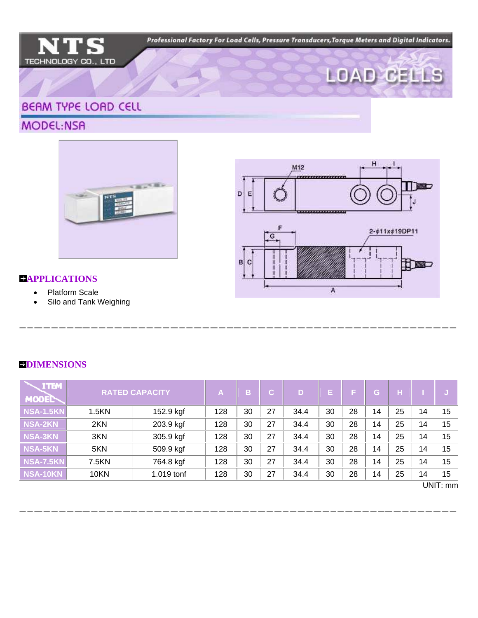Professional Factory For Load Cells, Pressure Transducers, Torque Meters and Digital Indicators.





## **BEAM TYPE LOAD CELL**

MODEL:NSA





## **APPLICATIONS**

- Platform Scale
- Silo and Tank Weighing

| <b>ITEM</b><br>MODEL | <b>RATED CAPACITY</b> |            | A   | в. | $\mathbf{C}^-$ | D.   | E. | F. | G. | н  |    |          |
|----------------------|-----------------------|------------|-----|----|----------------|------|----|----|----|----|----|----------|
| <b>NSA-1.5KN</b>     | 1.5KN                 | 152.9 kgf  | 128 | 30 | 27             | 34.4 | 30 | 28 | 14 | 25 | 14 | 15       |
| NSA-2KN              | 2KN                   | 203.9 kgf  | 128 | 30 | 27             | 34.4 | 30 | 28 | 14 | 25 | 14 | 15       |
| <b>NSA-3KN</b>       | 3KN                   | 305.9 kgf  | 128 | 30 | 27             | 34.4 | 30 | 28 | 14 | 25 | 14 | 15       |
| NSA-5KN              | 5KN                   | 509.9 kgf  | 128 | 30 | 27             | 34.4 | 30 | 28 | 14 | 25 | 14 | 15       |
| <b>NSA-7.5KN</b>     | 7.5KN                 | 764.8 kgf  | 128 | 30 | 27             | 34.4 | 30 | 28 | 14 | 25 | 14 | 15       |
| NSA-10KN             | 10KN                  | 1.019 tonf | 128 | 30 | 27             | 34.4 | 30 | 28 | 14 | 25 | 14 | 15       |
|                      |                       |            |     |    |                |      |    |    |    |    |    | UNIT: mm |

## **DIMENSIONS**